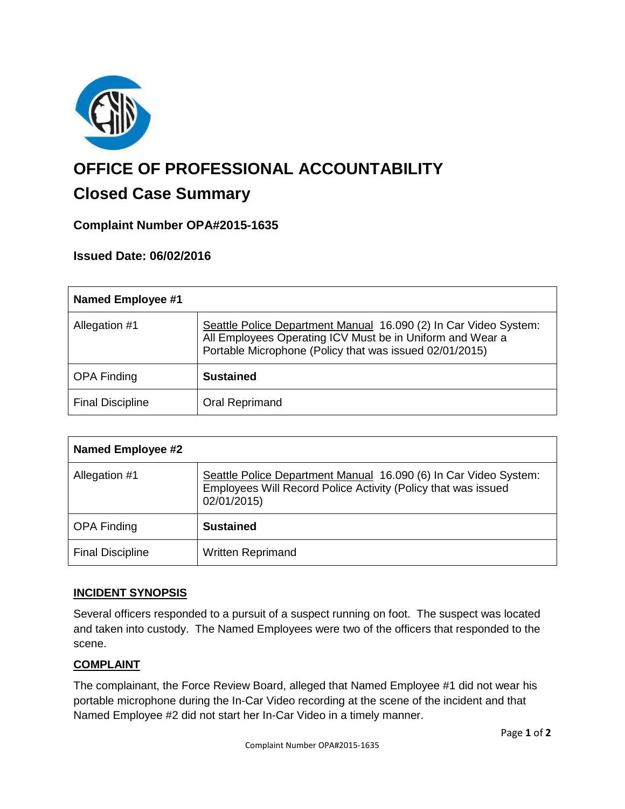

# **OFFICE OF PROFESSIONAL ACCOUNTABILITY**

# **Closed Case Summary**

## **Complaint Number OPA#2015-1635**

### **Issued Date: 06/02/2016**

| <b>Named Employee #1</b> |                                                                                                                                                                                          |
|--------------------------|------------------------------------------------------------------------------------------------------------------------------------------------------------------------------------------|
| Allegation #1            | Seattle Police Department Manual 16.090 (2) In Car Video System:<br>All Employees Operating ICV Must be in Uniform and Wear a<br>Portable Microphone (Policy that was issued 02/01/2015) |
| <b>OPA Finding</b>       | <b>Sustained</b>                                                                                                                                                                         |
| <b>Final Discipline</b>  | Oral Reprimand                                                                                                                                                                           |

| <b>Named Employee #2</b> |                                                                                                                                                  |
|--------------------------|--------------------------------------------------------------------------------------------------------------------------------------------------|
| Allegation #1            | Seattle Police Department Manual 16.090 (6) In Car Video System:<br>Employees Will Record Police Activity (Policy that was issued<br>02/01/2015) |
| <b>OPA Finding</b>       | <b>Sustained</b>                                                                                                                                 |
| <b>Final Discipline</b>  | <b>Written Reprimand</b>                                                                                                                         |

#### **INCIDENT SYNOPSIS**

Several officers responded to a pursuit of a suspect running on foot. The suspect was located and taken into custody. The Named Employees were two of the officers that responded to the scene.

#### **COMPLAINT**

The complainant, the Force Review Board, alleged that Named Employee #1 did not wear his portable microphone during the In-Car Video recording at the scene of the incident and that Named Employee #2 did not start her In-Car Video in a timely manner.